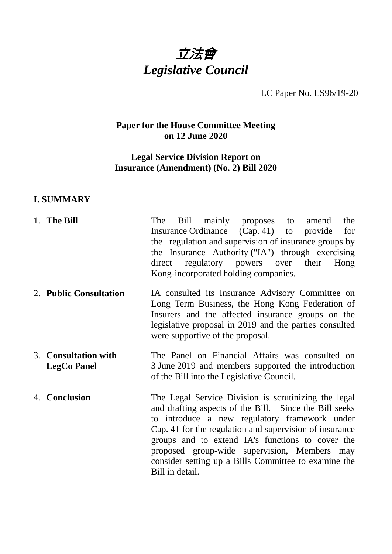

LC Paper No. LS96/19-20

# **Paper for the House Committee Meeting on 12 June 2020**

# **Legal Service Division Report on Insurance (Amendment) (No. 2) Bill 2020**

# **I. SUMMARY**

| 1. The Bill                                | Bill mainly proposes to<br>the<br>The<br>amend<br>Insurance Ordinance (Cap. 41) to provide<br>for<br>the regulation and supervision of insurance groups by<br>the Insurance Authority ("IA") through exercising<br>direct regulatory powers over their Hong<br>Kong-incorporated holding companies.                                                                                                       |
|--------------------------------------------|-----------------------------------------------------------------------------------------------------------------------------------------------------------------------------------------------------------------------------------------------------------------------------------------------------------------------------------------------------------------------------------------------------------|
| 2. Public Consultation                     | IA consulted its Insurance Advisory Committee on<br>Long Term Business, the Hong Kong Federation of<br>Insurers and the affected insurance groups on the<br>legislative proposal in 2019 and the parties consulted<br>were supportive of the proposal.                                                                                                                                                    |
| 3. Consultation with<br><b>LegCo Panel</b> | The Panel on Financial Affairs was consulted on<br>3 June 2019 and members supported the introduction<br>of the Bill into the Legislative Council.                                                                                                                                                                                                                                                        |
| 4. Conclusion                              | The Legal Service Division is scrutinizing the legal<br>and drafting aspects of the Bill. Since the Bill seeks<br>to introduce a new regulatory framework under<br>Cap. 41 for the regulation and supervision of insurance<br>groups and to extend IA's functions to cover the<br>proposed group-wide supervision, Members may<br>consider setting up a Bills Committee to examine the<br>Bill in detail. |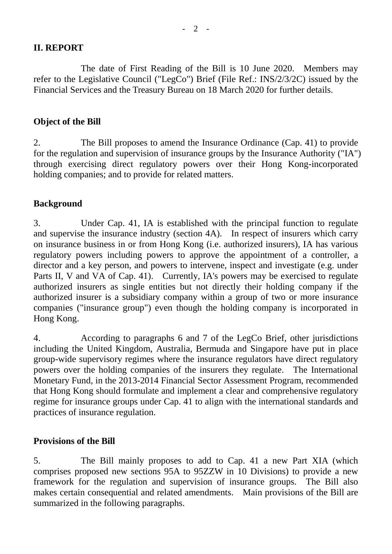### **II. REPORT**

The date of First Reading of the Bill is 10 June 2020. Members may refer to the Legislative Council ("LegCo") Brief (File Ref.: INS/2/3/2C) issued by the Financial Services and the Treasury Bureau on 18 March 2020 for further details.

### **Object of the Bill**

2. The Bill proposes to amend the Insurance Ordinance (Cap. 41) to provide for the regulation and supervision of insurance groups by the Insurance Authority ("IA") through exercising direct regulatory powers over their Hong Kong-incorporated holding companies; and to provide for related matters.

## **Background**

3. Under Cap. 41, IA is established with the principal function to regulate and supervise the insurance industry (section 4A). In respect of insurers which carry on insurance business in or from Hong Kong (i.e. authorized insurers), IA has various regulatory powers including powers to approve the appointment of a controller, a director and a key person, and powers to intervene, inspect and investigate (e.g. under Parts II, V and VA of Cap. 41). Currently, IA's powers may be exercised to regulate authorized insurers as single entities but not directly their holding company if the authorized insurer is a subsidiary company within a group of two or more insurance companies ("insurance group") even though the holding company is incorporated in Hong Kong.

4. According to paragraphs 6 and 7 of the LegCo Brief, other jurisdictions including the United Kingdom, Australia, Bermuda and Singapore have put in place group-wide supervisory regimes where the insurance regulators have direct regulatory powers over the holding companies of the insurers they regulate. The International Monetary Fund, in the 2013-2014 Financial Sector Assessment Program, recommended that Hong Kong should formulate and implement a clear and comprehensive regulatory regime for insurance groups under Cap. 41 to align with the international standards and practices of insurance regulation.

### **Provisions of the Bill**

5. The Bill mainly proposes to add to Cap. 41 a new Part XIA (which comprises proposed new sections 95A to 95ZZW in 10 Divisions) to provide a new framework for the regulation and supervision of insurance groups. The Bill also makes certain consequential and related amendments. Main provisions of the Bill are summarized in the following paragraphs.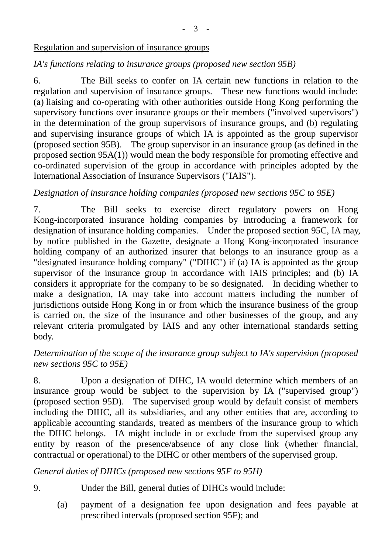#### Regulation and supervision of insurance groups

# *IA's functions relating to insurance groups (proposed new section 95B)*

6. The Bill seeks to confer on IA certain new functions in relation to the regulation and supervision of insurance groups. These new functions would include: (a) liaising and co-operating with other authorities outside Hong Kong performing the supervisory functions over insurance groups or their members ("involved supervisors") in the determination of the group supervisors of insurance groups, and (b) regulating and supervising insurance groups of which IA is appointed as the group supervisor (proposed section 95B). The group supervisor in an insurance group (as defined in the proposed section 95A(1)) would mean the body responsible for promoting effective and co-ordinated supervision of the group in accordance with principles adopted by the International Association of Insurance Supervisors ("IAIS").

# *Designation of insurance holding companies (proposed new sections 95C to 95E)*

7. The Bill seeks to exercise direct regulatory powers on Hong Kong-incorporated insurance holding companies by introducing a framework for designation of insurance holding companies. Under the proposed section 95C, IA may, by notice published in the Gazette, designate a Hong Kong-incorporated insurance holding company of an authorized insurer that belongs to an insurance group as a "designated insurance holding company" ("DIHC") if (a) IA is appointed as the group supervisor of the insurance group in accordance with IAIS principles; and (b) IA considers it appropriate for the company to be so designated. In deciding whether to make a designation, IA may take into account matters including the number of jurisdictions outside Hong Kong in or from which the insurance business of the group is carried on, the size of the insurance and other businesses of the group, and any relevant criteria promulgated by IAIS and any other international standards setting body.

## *Determination of the scope of the insurance group subject to IA's supervision (proposed new sections 95C to 95E)*

8. Upon a designation of DIHC, IA would determine which members of an insurance group would be subject to the supervision by IA ("supervised group") (proposed section 95D). The supervised group would by default consist of members including the DIHC, all its subsidiaries, and any other entities that are, according to applicable accounting standards, treated as members of the insurance group to which the DIHC belongs. IA might include in or exclude from the supervised group any entity by reason of the presence/absence of any close link (whether financial, contractual or operational) to the DIHC or other members of the supervised group.

### *General duties of DIHCs (proposed new sections 95F to 95H)*

9. Under the Bill, general duties of DIHCs would include:

(a) payment of a designation fee upon designation and fees payable at prescribed intervals (proposed section 95F); and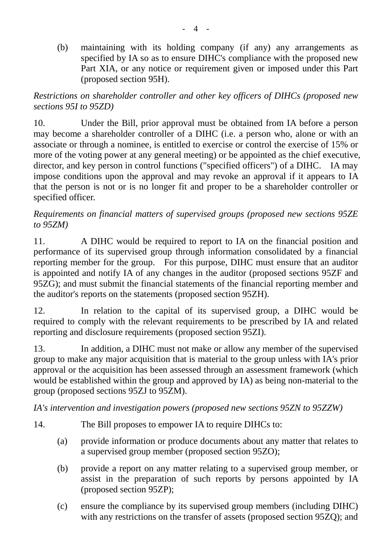(b) maintaining with its holding company (if any) any arrangements as specified by IA so as to ensure DIHC's compliance with the proposed new Part XIA, or any notice or requirement given or imposed under this Part (proposed section 95H).

*Restrictions on shareholder controller and other key officers of DIHCs (proposed new sections 95I to 95ZD)*

10. Under the Bill, prior approval must be obtained from IA before a person may become a shareholder controller of a DIHC (i.e. a person who, alone or with an associate or through a nominee, is entitled to exercise or control the exercise of 15% or more of the voting power at any general meeting) or be appointed as the chief executive, director, and key person in control functions ("specified officers") of a DIHC. IA may impose conditions upon the approval and may revoke an approval if it appears to IA that the person is not or is no longer fit and proper to be a shareholder controller or specified officer.

# *Requirements on financial matters of supervised groups (proposed new sections 95ZE to 95ZM)*

11. A DIHC would be required to report to IA on the financial position and performance of its supervised group through information consolidated by a financial reporting member for the group. For this purpose, DIHC must ensure that an auditor is appointed and notify IA of any changes in the auditor (proposed sections 95ZF and 95ZG); and must submit the financial statements of the financial reporting member and the auditor's reports on the statements (proposed section 95ZH).

12. In relation to the capital of its supervised group, a DIHC would be required to comply with the relevant requirements to be prescribed by IA and related reporting and disclosure requirements (proposed section 95ZI).

13. In addition, a DIHC must not make or allow any member of the supervised group to make any major acquisition that is material to the group unless with IA's prior approval or the acquisition has been assessed through an assessment framework (which would be established within the group and approved by IA) as being non-material to the group (proposed sections 95ZJ to 95ZM).

*IA's intervention and investigation powers (proposed new sections 95ZN to 95ZZW)*

- 14. The Bill proposes to empower IA to require DIHCs to:
	- (a) provide information or produce documents about any matter that relates to a supervised group member (proposed section 95ZO);
	- (b) provide a report on any matter relating to a supervised group member, or assist in the preparation of such reports by persons appointed by IA (proposed section 95ZP);
	- (c) ensure the compliance by its supervised group members (including DIHC) with any restrictions on the transfer of assets (proposed section 95ZQ); and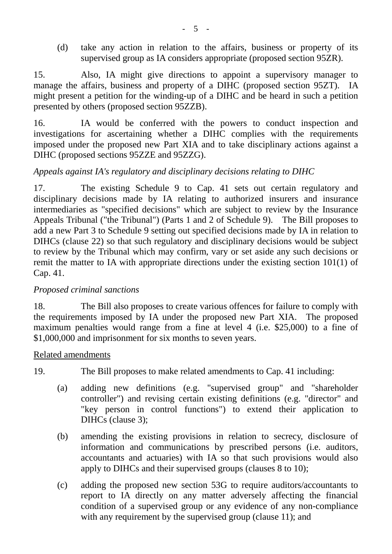(d) take any action in relation to the affairs, business or property of its supervised group as IA considers appropriate (proposed section 95ZR).

15. Also, IA might give directions to appoint a supervisory manager to manage the affairs, business and property of a DIHC (proposed section 95ZT). IA might present a petition for the winding-up of a DIHC and be heard in such a petition presented by others (proposed section 95ZZB).

16. IA would be conferred with the powers to conduct inspection and investigations for ascertaining whether a DIHC complies with the requirements imposed under the proposed new Part XIA and to take disciplinary actions against a DIHC (proposed sections 95ZZE and 95ZZG).

# *Appeals against IA's regulatory and disciplinary decisions relating to DIHC*

17. The existing Schedule 9 to Cap. 41 sets out certain regulatory and disciplinary decisions made by IA relating to authorized insurers and insurance intermediaries as "specified decisions" which are subject to review by the Insurance Appeals Tribunal ("the Tribunal") (Parts 1 and 2 of Schedule 9). The Bill proposes to add a new Part 3 to Schedule 9 setting out specified decisions made by IA in relation to DIHCs (clause 22) so that such regulatory and disciplinary decisions would be subject to review by the Tribunal which may confirm, vary or set aside any such decisions or remit the matter to IA with appropriate directions under the existing section 101(1) of Cap. 41.

### *Proposed criminal sanctions*

18. The Bill also proposes to create various offences for failure to comply with the requirements imposed by IA under the proposed new Part XIA. The proposed maximum penalties would range from a fine at level 4 (i.e. \$25,000) to a fine of \$1,000,000 and imprisonment for six months to seven years.

#### Related amendments

19. The Bill proposes to make related amendments to Cap. 41 including:

- (a) adding new definitions (e.g. "supervised group" and "shareholder controller") and revising certain existing definitions (e.g. "director" and "key person in control functions") to extend their application to DIHCs (clause 3);
- (b) amending the existing provisions in relation to secrecy, disclosure of information and communications by prescribed persons (i.e. auditors, accountants and actuaries) with IA so that such provisions would also apply to DIHCs and their supervised groups (clauses 8 to 10);
- (c) adding the proposed new section 53G to require auditors/accountants to report to IA directly on any matter adversely affecting the financial condition of a supervised group or any evidence of any non-compliance with any requirement by the supervised group (clause 11); and